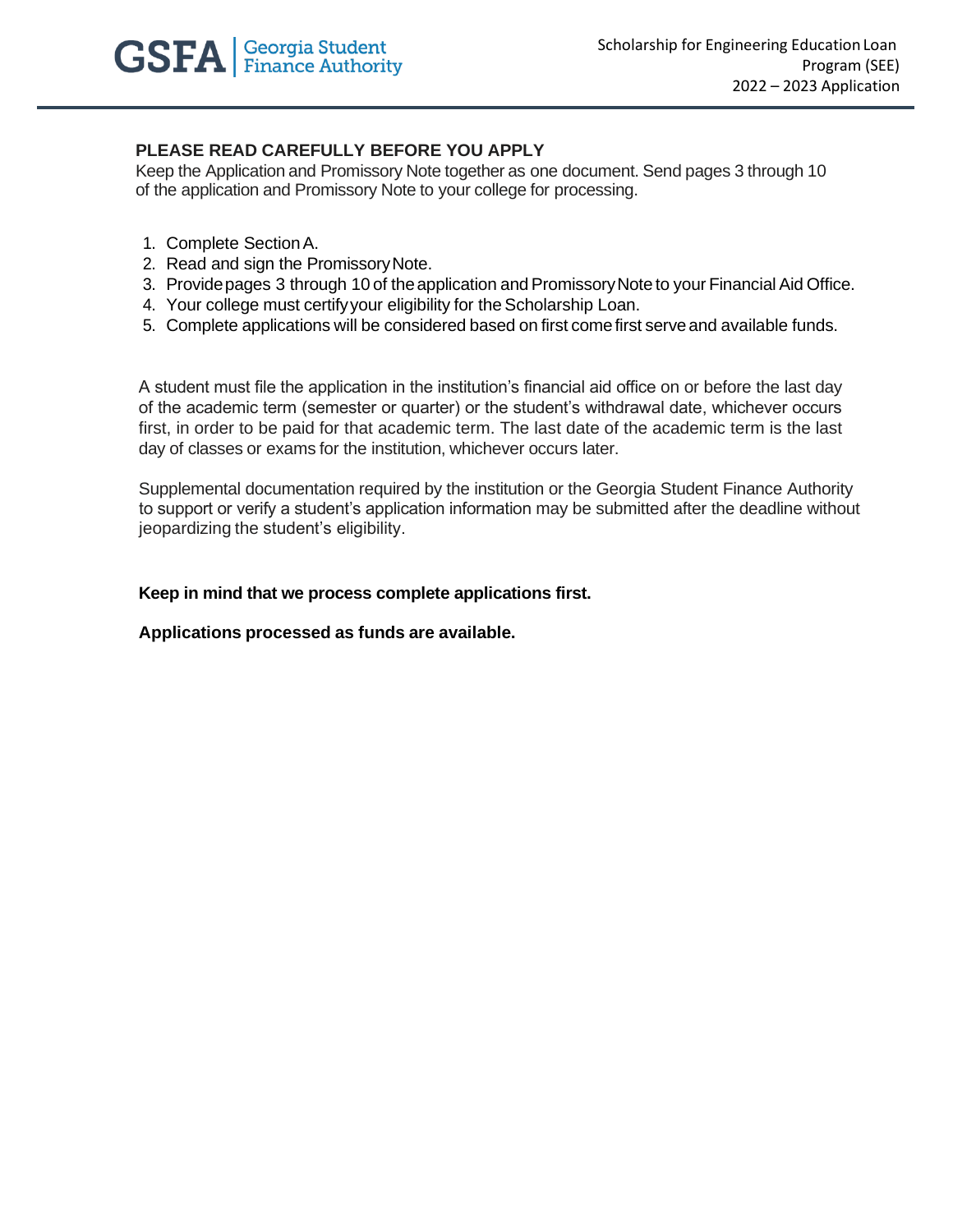

## **PLEASE READ CAREFULLY BEFORE YOU APPLY**

Keep the Application and Promissory Note together as one document. Send pages 3 through 10 of the application and Promissory Note to your college for processing.

- 1. Complete SectionA.
- 2. Read and sign the PromissoryNote.
- 3. Provide pages 3 through 10 of the application and Promissory Note to your Financial Aid Office.
- 4. Your college must certify your eligibility for the Scholarship Loan.
- 5. Complete applications will be considered based on first comefirst serveand available funds.

A student must file the application in the institution's financial aid office on or before the last day of the academic term (semester or quarter) or the student's withdrawal date, whichever occurs first, in order to be paid for that academic term. The last date of the academic term is the last day of classes or exams for the institution, whichever occurs later.

Supplemental documentation required by the institution or the Georgia Student Finance Authority to support or verify a student's application information may be submitted after the deadline without jeopardizing the student's eligibility.

## **Keep in mind that we process complete applications first.**

**Applications processed as funds are available.**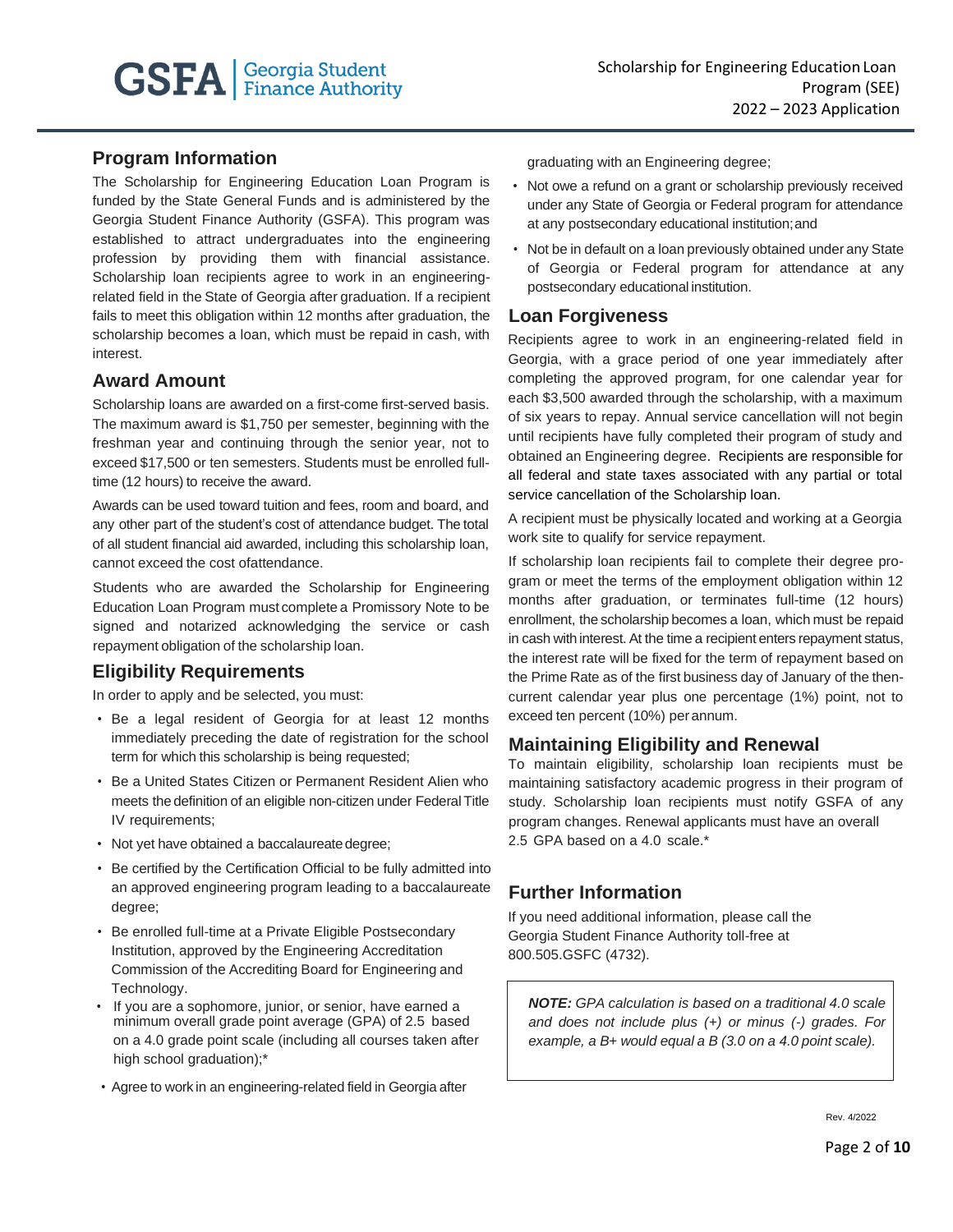## **Program Information**

The Scholarship for Engineering Education Loan Program is funded by the State General Funds and is administered by the Georgia Student Finance Authority (GSFA). This program was established to attract undergraduates into the engineering profession by providing them with financial assistance. Scholarship loan recipients agree to work in an engineeringrelated field in the State of Georgia after graduation. If a recipient fails to meet this obligation within 12 months after graduation, the scholarship becomes a loan, which must be repaid in cash, with interest.

## **Award Amount**

Scholarship loans are awarded on a first-come first-served basis. The maximum award is \$1,750 per semester, beginning with the freshman year and continuing through the senior year, not to exceed \$17,500 or ten semesters. Students must be enrolled fulltime (12 hours) to receive the award.

Awards can be used toward tuition and fees, room and board, and any other part of the student's cost of attendance budget. The total of all student financial aid awarded, including this scholarship loan, cannot exceed the cost ofattendance.

Students who are awarded the Scholarship for Engineering Education Loan Program must complete a Promissory Note to be signed and notarized acknowledging the service or cash repayment obligation of the scholarship loan.

# **Eligibility Requirements**

In order to apply and be selected, you must:

- Be a legal resident of Georgia for at least 12 months immediately preceding the date of registration for the school term for which this scholarship is being requested;
- Be a United States Citizen or Permanent Resident Alien who meets the definition of an eligible non-citizen under Federal Title IV requirements;
- Not yet have obtained a baccalaureate degree;
- Be certified by the Certification Official to be fully admitted into an approved engineering program leading to a baccalaureate degree;
- Be enrolled full-time at a Private Eligible Postsecondary Institution, approved by the Engineering Accreditation Commission of the Accrediting Board for Engineering and Technology.
- If you are a sophomore, junior, or senior, have earned a minimum overall grade point average (GPA) of 2.5 based on a 4.0 grade point scale (including all courses taken after high school graduation);\*
- Agree to work in an engineering-related field in Georgia after

graduating with an Engineering degree;

- Not owe a refund on a grant or scholarship previously received under any State of Georgia or Federal program for attendance at any postsecondary educational institution;and
- Not be in default on a loan previously obtained under any State of Georgia or Federal program for attendance at any postsecondary educational institution.

## **Loan Forgiveness**

Recipients agree to work in an engineering-related field in Georgia, with a grace period of one year immediately after completing the approved program, for one calendar year for each \$3,500 awarded through the scholarship, with a maximum of six years to repay. Annual service cancellation will not begin until recipients have fully completed their program of study and obtained an Engineering degree. Recipients are responsible for all federal and state taxes associated with any partial or total service cancellation of the Scholarship loan.

A recipient must be physically located and working at a Georgia work site to qualify for service repayment.

If scholarship loan recipients fail to complete their degree program or meet the terms of the employment obligation within 12 months after graduation, or terminates full-time (12 hours) enrollment, the scholarship becomes a loan, which must be repaid in cash with interest. At the time a recipient enters repayment status, the interest rate will be fixed for the term of repayment based on the Prime Rate as of the first business day of January of the thencurrent calendar year plus one percentage (1%) point, not to exceed ten percent (10%) per annum.

## **Maintaining Eligibility and Renewal**

To maintain eligibility, scholarship loan recipients must be maintaining satisfactory academic progress in their program of study. Scholarship loan recipients must notify GSFA of any program changes. Renewal applicants must have an overall 2.5 GPA based on a 4.0 scale.\*

# **Further Information**

If you need additional information, please call the Georgia Student Finance Authority toll-free at 800.505.GSFC (4732).

*NOTE: GPA calculation is based on a traditional 4.0 scale and does not include plus (*+*) or minus (-) grades. For example, a B*+ *would equal a B (3.0 on a 4.0 point scale).*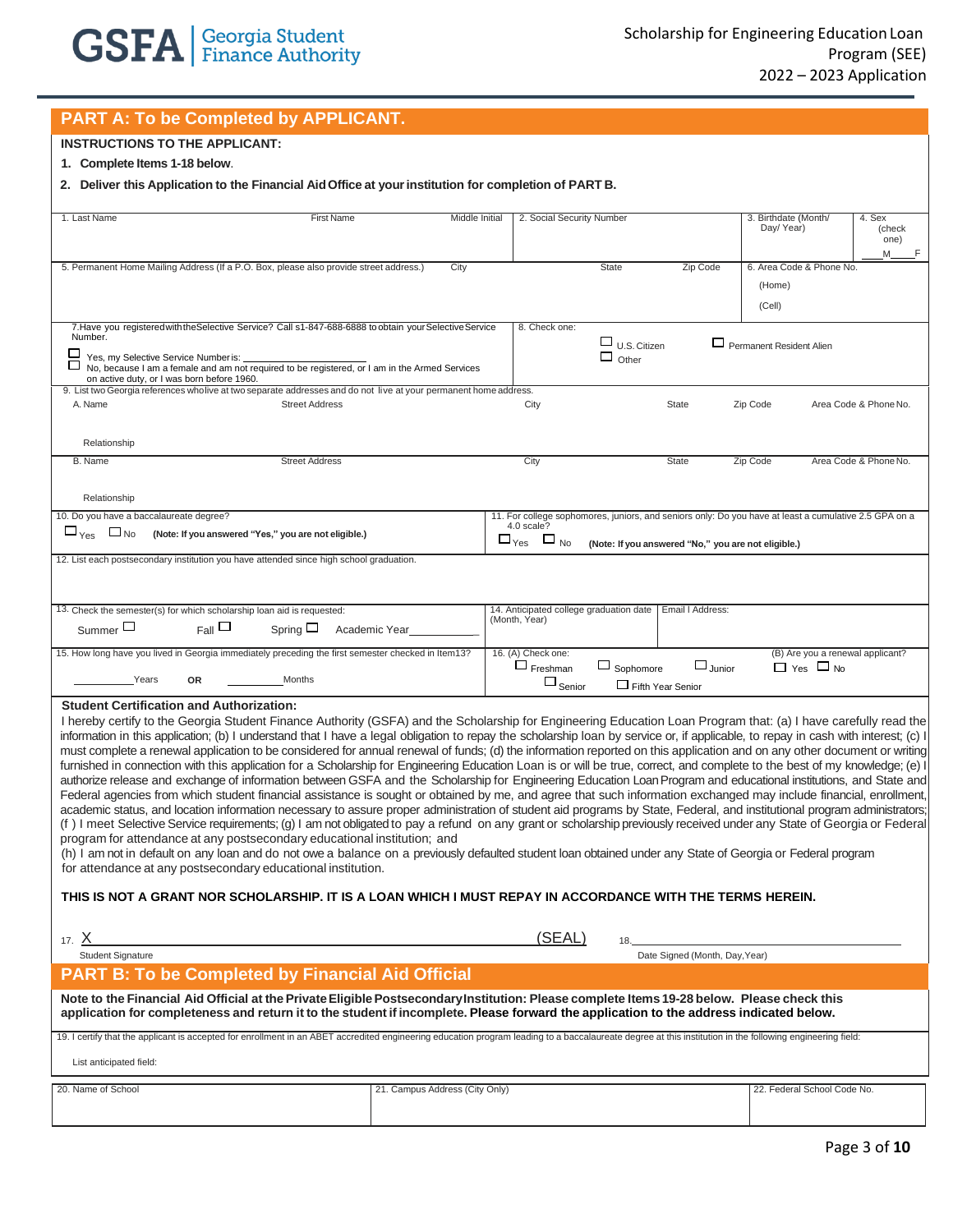## **PART A: To be Completed by APPLICANT.**

## **INSTRUCTIONS TO THE APPLICANT:**

#### **1. Complete Items 1-18 below**.

**2. Deliver this Application to the Financial AidOffice at yourinstitution for completion of PART B.**

| 1. Last Name<br><b>First Name</b>                                                                                                                                                                                                                                                                                                                                                                                                                                                                                                                                                                                                                                                                                                                                                                                                                                                                                                                                                                                                                                                                                                                                                                                                                                                                                                                                                                                                                                                                                                                                                                                                                                                                                                                                              | <b>Middle Initial</b>          | 2. Social Security Number                                 |                                              |                                                     | 3. Birthdate (Month/<br>Day/Year)                                                                     | 4. Sex<br>(check<br>one)<br>M    |
|--------------------------------------------------------------------------------------------------------------------------------------------------------------------------------------------------------------------------------------------------------------------------------------------------------------------------------------------------------------------------------------------------------------------------------------------------------------------------------------------------------------------------------------------------------------------------------------------------------------------------------------------------------------------------------------------------------------------------------------------------------------------------------------------------------------------------------------------------------------------------------------------------------------------------------------------------------------------------------------------------------------------------------------------------------------------------------------------------------------------------------------------------------------------------------------------------------------------------------------------------------------------------------------------------------------------------------------------------------------------------------------------------------------------------------------------------------------------------------------------------------------------------------------------------------------------------------------------------------------------------------------------------------------------------------------------------------------------------------------------------------------------------------|--------------------------------|-----------------------------------------------------------|----------------------------------------------|-----------------------------------------------------|-------------------------------------------------------------------------------------------------------|----------------------------------|
| 5. Permanent Home Mailing Address (If a P.O. Box, please also provide street address.)                                                                                                                                                                                                                                                                                                                                                                                                                                                                                                                                                                                                                                                                                                                                                                                                                                                                                                                                                                                                                                                                                                                                                                                                                                                                                                                                                                                                                                                                                                                                                                                                                                                                                         | City                           |                                                           | <b>State</b>                                 | Zip Code                                            | 6. Area Code & Phone No.<br>(Home)<br>(Cell)                                                          |                                  |
| 7. Have you registered with the Selective Service? Call s1-847-688-6888 to obtain your Selective Service<br>Number.<br>□<br>Yes, my Selective Service Number is:<br>No, because I am a female and am not required to be registered, or I am in the Armed Services<br>on active duty, or I was born before 1960.                                                                                                                                                                                                                                                                                                                                                                                                                                                                                                                                                                                                                                                                                                                                                                                                                                                                                                                                                                                                                                                                                                                                                                                                                                                                                                                                                                                                                                                                |                                | 8. Check one:                                             | $\Box$ U.S. Citizen<br>$\Box$ Other          |                                                     | Permanent Resident Alien                                                                              |                                  |
| 9. List two Georgia references wholive at two separate addresses and do not live at your permanent home address.<br>A. Name<br><b>Street Address</b>                                                                                                                                                                                                                                                                                                                                                                                                                                                                                                                                                                                                                                                                                                                                                                                                                                                                                                                                                                                                                                                                                                                                                                                                                                                                                                                                                                                                                                                                                                                                                                                                                           |                                | City                                                      |                                              | State                                               | Zip Code                                                                                              | Area Code & Phone No.            |
| Relationship<br><b>Street Address</b><br>B. Name                                                                                                                                                                                                                                                                                                                                                                                                                                                                                                                                                                                                                                                                                                                                                                                                                                                                                                                                                                                                                                                                                                                                                                                                                                                                                                                                                                                                                                                                                                                                                                                                                                                                                                                               |                                | City                                                      |                                              | <b>State</b>                                        | Zip Code                                                                                              | Area Code & Phone No.            |
| Relationship                                                                                                                                                                                                                                                                                                                                                                                                                                                                                                                                                                                                                                                                                                                                                                                                                                                                                                                                                                                                                                                                                                                                                                                                                                                                                                                                                                                                                                                                                                                                                                                                                                                                                                                                                                   |                                |                                                           |                                              |                                                     |                                                                                                       |                                  |
| 10. Do you have a baccalaureate degree?<br>$\square_{\text{Yes}} \square_{\text{No}}$<br>(Note: If you answered "Yes," you are not eligible.)                                                                                                                                                                                                                                                                                                                                                                                                                                                                                                                                                                                                                                                                                                                                                                                                                                                                                                                                                                                                                                                                                                                                                                                                                                                                                                                                                                                                                                                                                                                                                                                                                                  |                                | 4.0 scale?<br>$\square_{\text{Yes}} \square_{\text{No}}$  |                                              | (Note: If you answered "No," you are not eligible.) | 11. For college sophomores, juniors, and seniors only: Do you have at least a cumulative 2.5 GPA on a |                                  |
| 12. List each postsecondary institution you have attended since high school graduation.                                                                                                                                                                                                                                                                                                                                                                                                                                                                                                                                                                                                                                                                                                                                                                                                                                                                                                                                                                                                                                                                                                                                                                                                                                                                                                                                                                                                                                                                                                                                                                                                                                                                                        |                                |                                                           |                                              |                                                     |                                                                                                       |                                  |
| 13. Check the semester(s) for which scholarship loan aid is requested:<br>$_{\rm Fall}$<br>Summer $\Box$<br>Spring $\Box$                                                                                                                                                                                                                                                                                                                                                                                                                                                                                                                                                                                                                                                                                                                                                                                                                                                                                                                                                                                                                                                                                                                                                                                                                                                                                                                                                                                                                                                                                                                                                                                                                                                      | Academic Year                  | 14. Anticipated college graduation date<br>(Month, Year)  |                                              | Email I Address:                                    |                                                                                                       |                                  |
| 15. How long have you lived in Georgia immediately preceding the first semester checked in Item13?<br>Years<br>Months<br><b>OR</b>                                                                                                                                                                                                                                                                                                                                                                                                                                                                                                                                                                                                                                                                                                                                                                                                                                                                                                                                                                                                                                                                                                                                                                                                                                                                                                                                                                                                                                                                                                                                                                                                                                             |                                | 16. (A) Check one:<br>$\Box$ Freshman<br>$\square$ Senior | $\Box$ Sophomore<br>$\Box$ Fifth Year Senior | $\Box$ Junior                                       | $\Box$ Yes $\Box$ No                                                                                  | (B) Are you a renewal applicant? |
| <b>Student Certification and Authorization:</b><br>I hereby certify to the Georgia Student Finance Authority (GSFA) and the Scholarship for Engineering Education Loan Program that: (a) I have carefully read the<br>information in this application; (b) I understand that I have a legal obligation to repay the scholarship loan by service or, if applicable, to repay in cash with interest; (c) I<br>must complete a renewal application to be considered for annual renewal of funds; (d) the information reported on this application and on any other document or writing<br>furnished in connection with this application for a Scholarship for Engineering Education Loan is or will be true, correct, and complete to the best of my knowledge; (e) I<br>authorize release and exchange of information between GSFA and the Scholarship for Engineering Education Loan Program and educational institutions, and State and<br>Federal agencies from which student financial assistance is sought or obtained by me, and agree that such information exchanged may include financial, enrollment,<br>academic status, and location information necessary to assure proper administration of student aid programs by State, Federal, and institutional program administrators;<br>(f) I meet Selective Service requirements; (g) I am not obligated to pay a refund on any grant or scholarship previously received under any State of Georgia or Federal<br>program for attendance at any postsecondary educational institution; and<br>(h) I am not in default on any loan and do not owe a balance on a previously defaulted student loan obtained under any State of Georgia or Federal program<br>for attendance at any postsecondary educational institution. |                                |                                                           |                                              |                                                     |                                                                                                       |                                  |
| THIS IS NOT A GRANT NOR SCHOLARSHIP. IT IS A LOAN WHICH I MUST REPAY IN ACCORDANCE WITH THE TERMS HEREIN.                                                                                                                                                                                                                                                                                                                                                                                                                                                                                                                                                                                                                                                                                                                                                                                                                                                                                                                                                                                                                                                                                                                                                                                                                                                                                                                                                                                                                                                                                                                                                                                                                                                                      |                                |                                                           |                                              |                                                     |                                                                                                       |                                  |
| 17. $X$                                                                                                                                                                                                                                                                                                                                                                                                                                                                                                                                                                                                                                                                                                                                                                                                                                                                                                                                                                                                                                                                                                                                                                                                                                                                                                                                                                                                                                                                                                                                                                                                                                                                                                                                                                        |                                | (SEAL)                                                    | 18.                                          |                                                     |                                                                                                       |                                  |
| <b>Student Signature</b><br><b>PART B: To be Completed by Financial Aid Official</b>                                                                                                                                                                                                                                                                                                                                                                                                                                                                                                                                                                                                                                                                                                                                                                                                                                                                                                                                                                                                                                                                                                                                                                                                                                                                                                                                                                                                                                                                                                                                                                                                                                                                                           |                                |                                                           |                                              | Date Signed (Month, Day, Year)                      |                                                                                                       |                                  |
| Note to the Financial Aid Official at the Private Eligible Postsecondary Institution: Please complete Items 19-28 below. Please check this<br>application for completeness and return it to the student if incomplete. Please forward the application to the address indicated below.                                                                                                                                                                                                                                                                                                                                                                                                                                                                                                                                                                                                                                                                                                                                                                                                                                                                                                                                                                                                                                                                                                                                                                                                                                                                                                                                                                                                                                                                                          |                                |                                                           |                                              |                                                     |                                                                                                       |                                  |
| 19. I certify that the applicant is accepted for enrollment in an ABET accredited engineering education program leading to a baccalaureate degree at this institution in the following engineering field:<br>List anticipated field:                                                                                                                                                                                                                                                                                                                                                                                                                                                                                                                                                                                                                                                                                                                                                                                                                                                                                                                                                                                                                                                                                                                                                                                                                                                                                                                                                                                                                                                                                                                                           |                                |                                                           |                                              |                                                     |                                                                                                       |                                  |
| 20. Name of School                                                                                                                                                                                                                                                                                                                                                                                                                                                                                                                                                                                                                                                                                                                                                                                                                                                                                                                                                                                                                                                                                                                                                                                                                                                                                                                                                                                                                                                                                                                                                                                                                                                                                                                                                             | 21. Campus Address (City Only) |                                                           |                                              |                                                     | 22. Federal School Code No.                                                                           |                                  |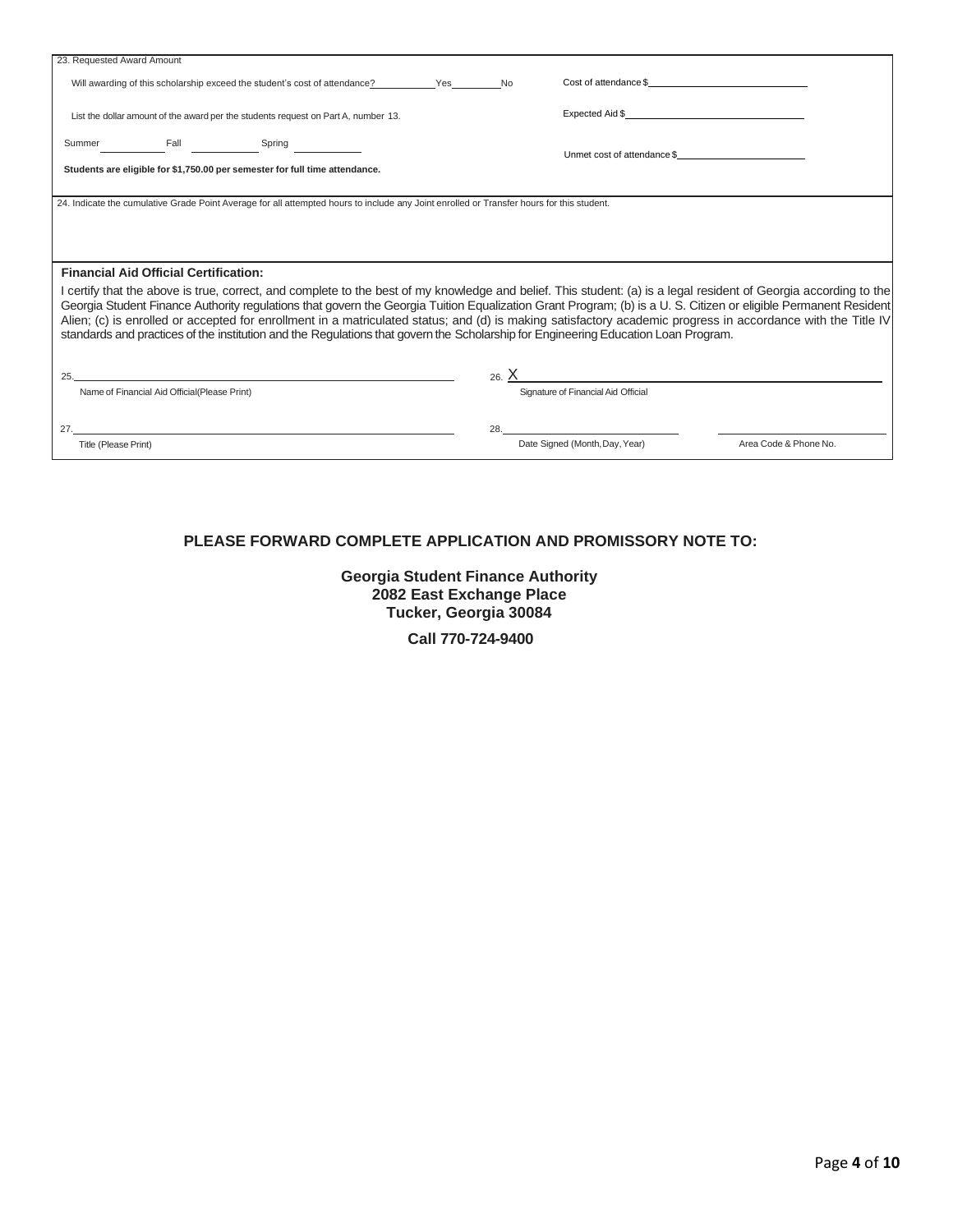| 23. Requested Award Amount                                                  |                                              |                                                                                                                                           |  |                             |                                     |                                                                                                                                                                                                                                                                                                                                                                                                                                                                                                      |
|-----------------------------------------------------------------------------|----------------------------------------------|-------------------------------------------------------------------------------------------------------------------------------------------|--|-----------------------------|-------------------------------------|------------------------------------------------------------------------------------------------------------------------------------------------------------------------------------------------------------------------------------------------------------------------------------------------------------------------------------------------------------------------------------------------------------------------------------------------------------------------------------------------------|
|                                                                             |                                              | Will awarding of this scholarship exceed the student's cost of attendance? The Yes No                                                     |  |                             | Cost of attendance \$               |                                                                                                                                                                                                                                                                                                                                                                                                                                                                                                      |
|                                                                             |                                              |                                                                                                                                           |  |                             | Expected Aid \$                     |                                                                                                                                                                                                                                                                                                                                                                                                                                                                                                      |
|                                                                             |                                              | List the dollar amount of the award per the students request on Part A, number 13.                                                        |  |                             |                                     |                                                                                                                                                                                                                                                                                                                                                                                                                                                                                                      |
|                                                                             |                                              | Summer Fall Fall Spring                                                                                                                   |  |                             |                                     |                                                                                                                                                                                                                                                                                                                                                                                                                                                                                                      |
| Students are eligible for \$1,750.00 per semester for full time attendance. |                                              |                                                                                                                                           |  | Unmet cost of attendance \$ |                                     |                                                                                                                                                                                                                                                                                                                                                                                                                                                                                                      |
|                                                                             |                                              |                                                                                                                                           |  |                             |                                     |                                                                                                                                                                                                                                                                                                                                                                                                                                                                                                      |
|                                                                             |                                              | 24. Indicate the cumulative Grade Point Average for all attempted hours to include any Joint enrolled or Transfer hours for this student. |  |                             |                                     |                                                                                                                                                                                                                                                                                                                                                                                                                                                                                                      |
|                                                                             |                                              |                                                                                                                                           |  |                             |                                     |                                                                                                                                                                                                                                                                                                                                                                                                                                                                                                      |
|                                                                             |                                              |                                                                                                                                           |  |                             |                                     |                                                                                                                                                                                                                                                                                                                                                                                                                                                                                                      |
|                                                                             | <b>Financial Aid Official Certification:</b> |                                                                                                                                           |  |                             |                                     |                                                                                                                                                                                                                                                                                                                                                                                                                                                                                                      |
|                                                                             |                                              | standards and practices of the institution and the Regulations that govern the Scholarship for Engineering Education Loan Program.        |  |                             |                                     | l certify that the above is true, correct, and complete to the best of my knowledge and belief. This student: (a) is a legal resident of Georgia according to the<br>Georgia Student Finance Authority regulations that govern the Georgia Tuition Equalization Grant Program; (b) is a U. S. Citizen or eligible Permanent Resident<br>Alien; (c) is enrolled or accepted for enrollment in a matriculated status; and (d) is making satisfactory academic progress in accordance with the Title IV |
|                                                                             |                                              |                                                                                                                                           |  |                             |                                     |                                                                                                                                                                                                                                                                                                                                                                                                                                                                                                      |
|                                                                             |                                              | 25.                                                                                                                                       |  |                             |                                     | 26. <u>X</u>                                                                                                                                                                                                                                                                                                                                                                                                                                                                                         |
|                                                                             | Name of Financial Aid Official(Please Print) |                                                                                                                                           |  |                             | Signature of Financial Aid Official |                                                                                                                                                                                                                                                                                                                                                                                                                                                                                                      |
|                                                                             |                                              |                                                                                                                                           |  | 28.                         |                                     |                                                                                                                                                                                                                                                                                                                                                                                                                                                                                                      |
| Title (Please Print)                                                        |                                              |                                                                                                                                           |  |                             | Date Signed (Month, Day, Year)      | Area Code & Phone No.                                                                                                                                                                                                                                                                                                                                                                                                                                                                                |
|                                                                             |                                              |                                                                                                                                           |  |                             |                                     |                                                                                                                                                                                                                                                                                                                                                                                                                                                                                                      |

## **PLEASE FORWARD COMPLETE APPLICATION AND PROMISSORY NOTE TO:**

**Georgia Student Finance Authority 2082 East Exchange Place Tucker, Georgia 30084**

**Call 770-724-9400**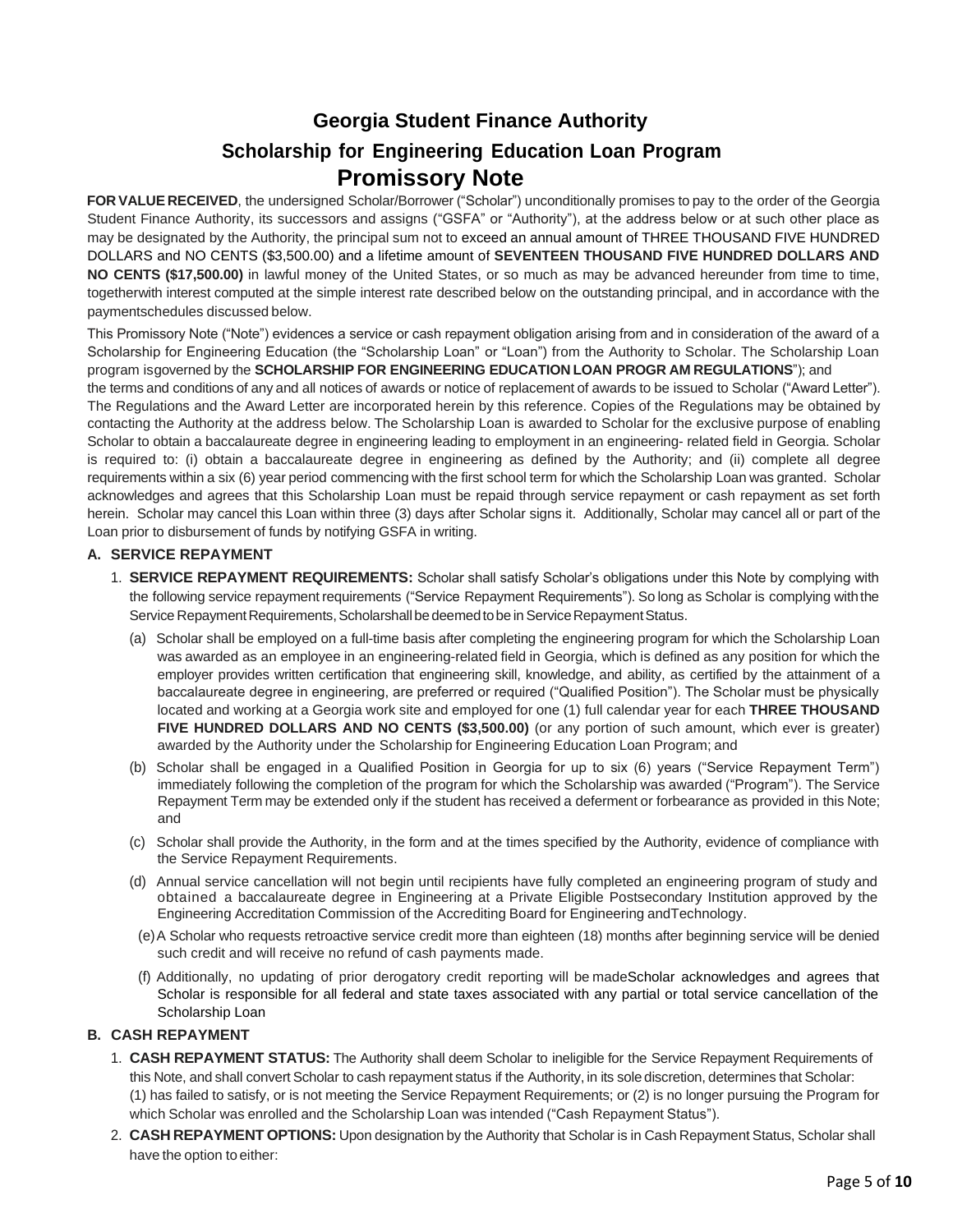# **Georgia Student Finance Authority Scholarship for Engineering Education Loan Program Promissory Note**

**FOR VALUE RECEIVED**, the undersigned Scholar/Borrower ("Scholar") unconditionally promises to pay to the order of the Georgia Student Finance Authority, its successors and assigns ("GSFA" or "Authority"), at the address below or at such other place as may be designated by the Authority, the principal sum not to exceed an annual amount of THREE THOUSAND FIVE HUNDRED DOLLARS and NO CENTS (\$3,500.00) and a lifetime amount of **SEVENTEEN THOUSAND FIVE HUNDRED DOLLARS AND NO CENTS (\$17,500.00)** in lawful money of the United States, or so much as may be advanced hereunder from time to time, togetherwith interest computed at the simple interest rate described below on the outstanding principal, and in accordance with the paymentschedules discussed below.

This Promissory Note ("Note") evidences a service or cash repayment obligation arising from and in consideration of the award of a Scholarship for Engineering Education (the "Scholarship Loan" or "Loan") from the Authority to Scholar. The Scholarship Loan program isgoverned by the **SCHOLARSHIP FOR ENGINEERING EDUCATION LOAN PROGR AM REGULATIONS**"); and

the terms and conditions of any and all notices of awards or notice of replacement of awards to be issued to Scholar ("Award Letter"). The Regulations and the Award Letter are incorporated herein by this reference. Copies of the Regulations may be obtained by contacting the Authority at the address below. The Scholarship Loan is awarded to Scholar for the exclusive purpose of enabling Scholar to obtain a baccalaureate degree in engineering leading to employment in an engineering- related field in Georgia. Scholar is required to: (i) obtain a baccalaureate degree in engineering as defined by the Authority; and (ii) complete all degree requirements within a six (6) year period commencing with the first school term for which the Scholarship Loan was granted. Scholar acknowledges and agrees that this Scholarship Loan must be repaid through service repayment or cash repayment as set forth herein. Scholar may cancel this Loan within three (3) days after Scholar signs it. Additionally, Scholar may cancel all or part of the Loan prior to disbursement of funds by notifying GSFA in writing.

#### **A. SERVICE REPAYMENT**

- 1. **SERVICE REPAYMENT REQUIREMENTS:** Scholar shall satisfy Scholar's obligations under this Note by complying with the following service repayment requirements ("Service Repayment Requirements"). So long as Scholar is complying withthe Service Repayment Requirements, Scholarshall be deemed to be in Service Repayment Status.
	- (a) Scholar shall be employed on a full-time basis after completing the engineering program for which the Scholarship Loan was awarded as an employee in an engineering-related field in Georgia, which is defined as any position for which the employer provides written certification that engineering skill, knowledge, and ability, as certified by the attainment of a baccalaureate degree in engineering, are preferred or required ("Qualified Position"). The Scholar must be physically located and working at a Georgia work site and employed for one (1) full calendar year for each **THREE THOUSAND FIVE HUNDRED DOLLARS AND NO CENTS (\$3,500.00)** (or any portion of such amount, which ever is greater) awarded by the Authority under the Scholarship for Engineering Education Loan Program; and
	- (b) Scholar shall be engaged in a Qualified Position in Georgia for up to six (6) years ("Service Repayment Term") immediately following the completion of the program for which the Scholarship was awarded ("Program"). The Service Repayment Term may be extended only if the student has received a deferment or forbearance as provided in this Note; and
	- (c) Scholar shall provide the Authority, in the form and at the times specified by the Authority, evidence of compliance with the Service Repayment Requirements.
	- (d) Annual service cancellation will not begin until recipients have fully completed an engineering program of study and obtained a baccalaureate degree in Engineering at a Private Eligible Postsecondary Institution approved by the Engineering Accreditation Commission of the Accrediting Board for Engineering andTechnology.
	- (e)A Scholar who requests retroactive service credit more than eighteen (18) months after beginning service will be denied such credit and will receive no refund of cash payments made.
	- (f) Additionally, no updating of prior derogatory credit reporting will be madeScholar acknowledges and agrees that Scholar is responsible for all federal and state taxes associated with any partial or total service cancellation of the Scholarship Loan

## **B. CASH REPAYMENT**

- 1. **CASH REPAYMENT STATUS:** The Authority shall deem Scholar to ineligible for the Service Repayment Requirements of this Note, and shall convert Scholar to cash repayment status if the Authority, in its sole discretion, determines that Scholar: (1) has failed to satisfy, or is not meeting the Service Repayment Requirements; or (2) is no longer pursuing the Program for which Scholar was enrolled and the Scholarship Loan was intended ("Cash Repayment Status").
- 2. **CASH REPAYMENT OPTIONS:** Upon designation by the Authority that Scholar is in Cash Repayment Status, Scholar shall have the option to either: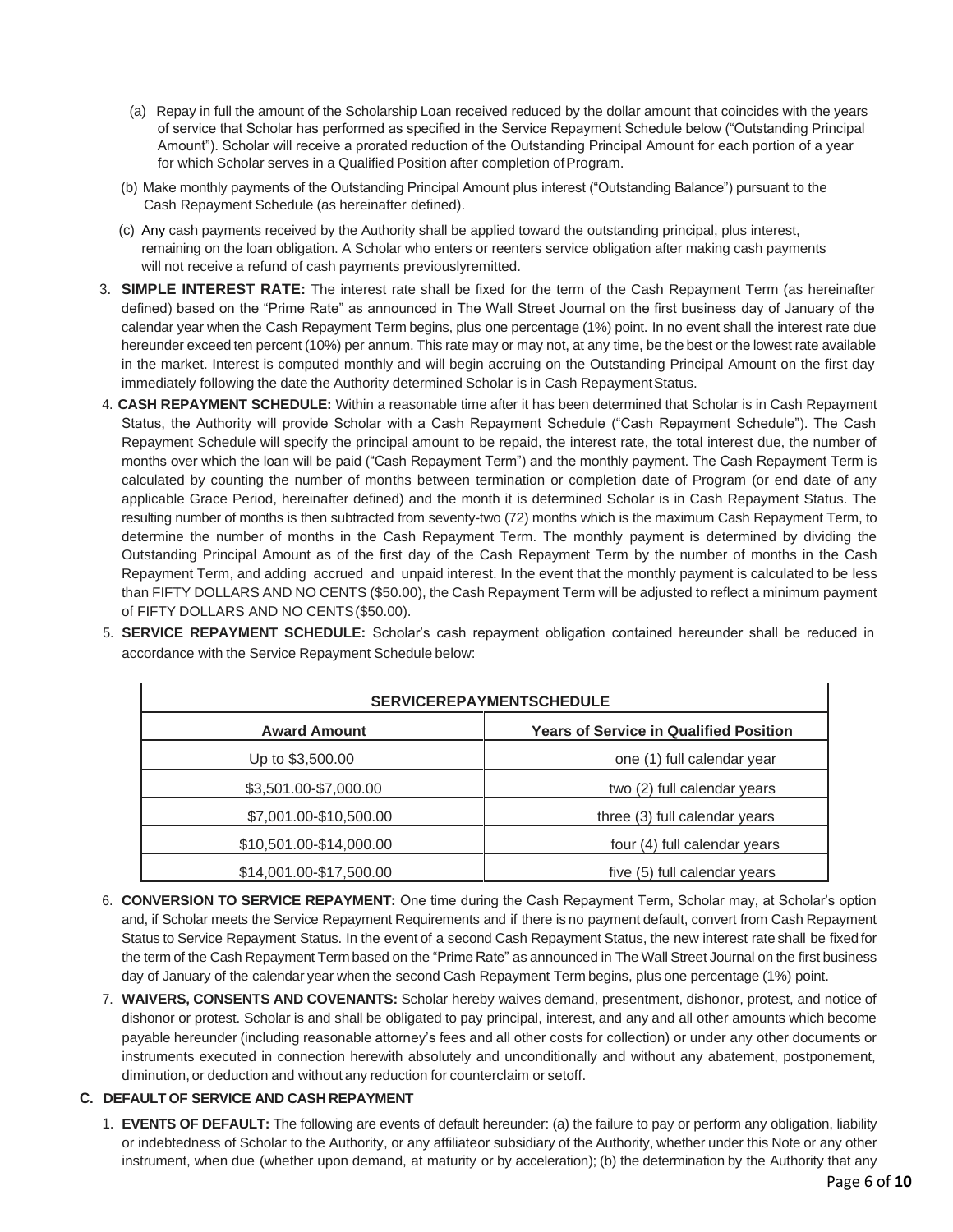- (a) Repay in full the amount of the Scholarship Loan received reduced by the dollar amount that coincides with the years of service that Scholar has performed as specified in the Service Repayment Schedule below ("Outstanding Principal Amount"). Scholar will receive a prorated reduction of the Outstanding Principal Amount for each portion of a year for which Scholar serves in a Qualified Position after completion of Program.
- (b) Make monthly payments of the Outstanding Principal Amount plus interest ("Outstanding Balance") pursuant to the Cash Repayment Schedule (as hereinafter defined).
- (c) Any cash payments received by the Authority shall be applied toward the outstanding principal, plus interest, remaining on the loan obligation. A Scholar who enters or reenters service obligation after making cash payments will not receive a refund of cash payments previouslyremitted.
- 3. **SIMPLE INTEREST RATE:** The interest rate shall be fixed for the term of the Cash Repayment Term (as hereinafter defined) based on the "Prime Rate" as announced in The Wall Street Journal on the first business day of January of the calendar year when the Cash Repayment Term begins, plus one percentage (1%) point. In no event shall the interest rate due hereunder exceed ten percent (10%) per annum. This rate may or may not, at any time, be the best or the lowest rate available in the market. Interest is computed monthly and will begin accruing on the Outstanding Principal Amount on the first day immediately following the date the Authority determined Scholar is in Cash Repayment Status.
- 4. **CASH REPAYMENT SCHEDULE:** Within a reasonable time after it has been determined that Scholar is in Cash Repayment Status, the Authority will provide Scholar with a Cash Repayment Schedule ("Cash Repayment Schedule"). The Cash Repayment Schedule will specify the principal amount to be repaid, the interest rate, the total interest due, the number of months over which the loan will be paid ("Cash Repayment Term") and the monthly payment. The Cash Repayment Term is calculated by counting the number of months between termination or completion date of Program (or end date of any applicable Grace Period, hereinafter defined) and the month it is determined Scholar is in Cash Repayment Status. The resulting number of months is then subtracted from seventy-two (72) months which is the maximum Cash Repayment Term, to determine the number of months in the Cash Repayment Term. The monthly payment is determined by dividing the Outstanding Principal Amount as of the first day of the Cash Repayment Term by the number of months in the Cash Repayment Term, and adding accrued and unpaid interest. In the event that the monthly payment is calculated to be less than FIFTY DOLLARS AND NO CENTS (\$50.00), the Cash Repayment Term will be adjusted to reflect a minimum payment of FIFTY DOLLARS AND NO CENTS(\$50.00).
- 5. **SERVICE REPAYMENT SCHEDULE:** Scholar's cash repayment obligation contained hereunder shall be reduced in accordance with the Service Repayment Schedule below:

| <b>SERVICEREPAYMENTSCHEDULE</b> |                                               |  |  |  |
|---------------------------------|-----------------------------------------------|--|--|--|
| <b>Award Amount</b>             | <b>Years of Service in Qualified Position</b> |  |  |  |
| Up to \$3,500.00                | one (1) full calendar year                    |  |  |  |
| \$3,501.00-\$7,000.00           | two (2) full calendar years                   |  |  |  |
| \$7,001.00-\$10,500.00          | three (3) full calendar years                 |  |  |  |
| \$10,501.00-\$14,000.00         | four (4) full calendar years                  |  |  |  |
| \$14,001.00-\$17,500.00         | five (5) full calendar years                  |  |  |  |

- 6. **CONVERSION TO SERVICE REPAYMENT:** One time during the Cash Repayment Term, Scholar may, at Scholar's option and, if Scholar meets the Service Repayment Requirements and if there is no payment default, convert from Cash Repayment Status to Service Repayment Status. In the event of a second Cash Repayment Status, the new interest rate shall be fixed for the term of the Cash Repayment Term based on the "Prime Rate" as announced in The Wall Street Journal on the first business day of January of the calendar year when the second Cash Repayment Term begins, plus one percentage (1%) point.
- 7. **WAIVERS, CONSENTS AND COVENANTS:** Scholar hereby waives demand, presentment, dishonor, protest, and notice of dishonor or protest. Scholar is and shall be obligated to pay principal, interest, and any and all other amounts which become payable hereunder (including reasonable attorney's fees and all other costs for collection) or under any other documents or instruments executed in connection herewith absolutely and unconditionally and without any abatement, postponement, diminution, or deduction and without any reduction for counterclaim or setoff.

## **C. DEFAULT OF SERVICE AND CASH REPAYMENT**

1. **EVENTS OF DEFAULT:** The following are events of default hereunder: (a) the failure to pay or perform any obligation, liability or indebtedness of Scholar to the Authority, or any affiliateor subsidiary of the Authority, whether under this Note or any other instrument, when due (whether upon demand, at maturity or by acceleration); (b) the determination by the Authority that any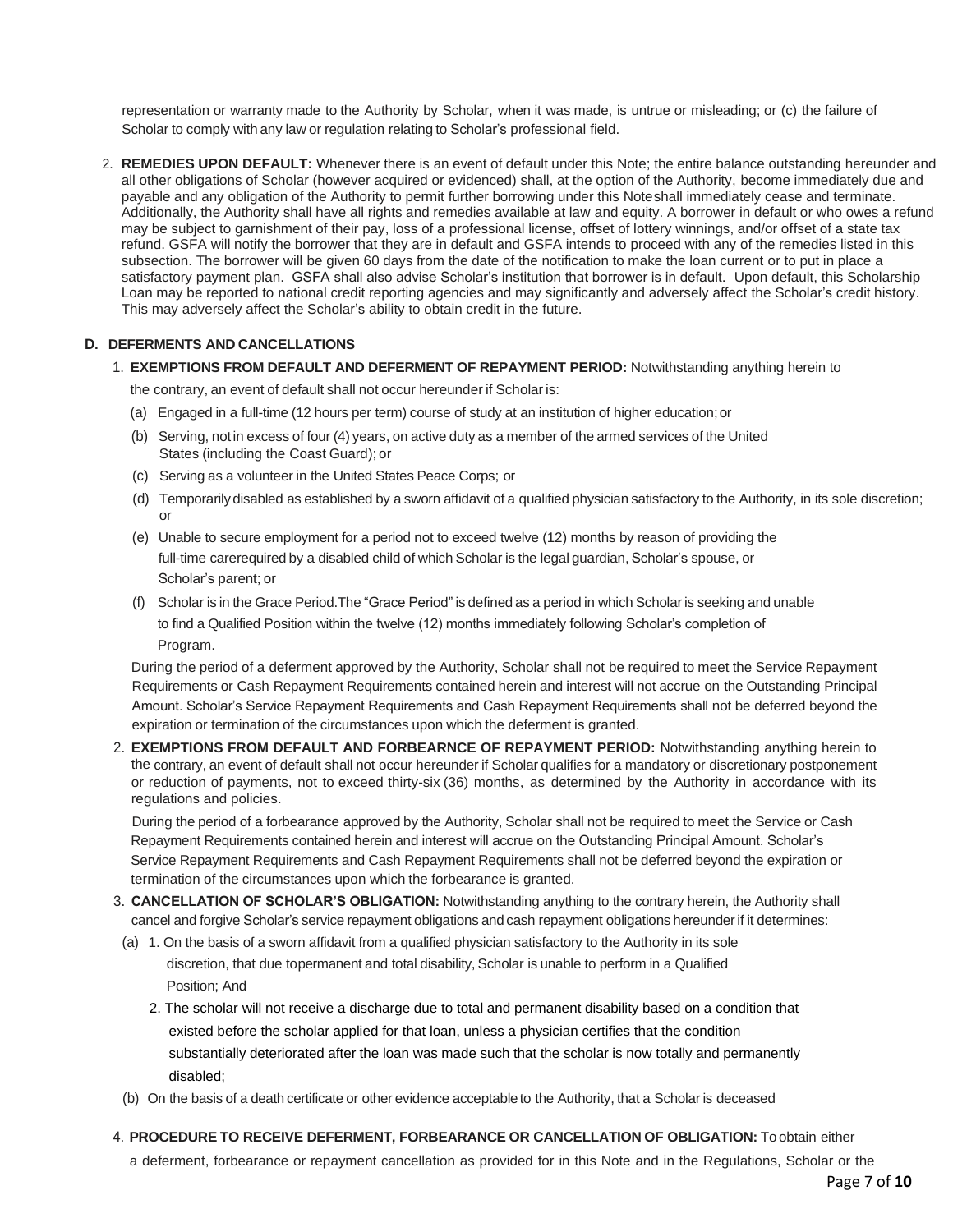representation or warranty made to the Authority by Scholar, when it was made, is untrue or misleading; or (c) the failure of Scholar to comply with any law or regulation relating to Scholar's professional field.

2. **REMEDIES UPON DEFAULT:** Whenever there is an event of default under this Note; the entire balance outstanding hereunder and all other obligations of Scholar (however acquired or evidenced) shall, at the option of the Authority, become immediately due and payable and any obligation of the Authority to permit further borrowing under this Noteshall immediately cease and terminate. Additionally, the Authority shall have all rights and remedies available at law and equity. A borrower in default or who owes a refund may be subject to garnishment of their pay, loss of a professional license, offset of lottery winnings, and/or offset of a state tax refund. GSFA will notify the borrower that they are in default and GSFA intends to proceed with any of the remedies listed in this subsection. The borrower will be given 60 days from the date of the notification to make the loan current or to put in place a satisfactory payment plan. GSFA shall also advise Scholar's institution that borrower is in default. Upon default, this Scholarship Loan may be reported to national credit reporting agencies and may significantly and adversely affect the Scholar's credit history. This may adversely affect the Scholar's ability to obtain credit in the future.

#### **D. DEFERMENTS AND CANCELLATIONS**

1. **EXEMPTIONS FROM DEFAULT AND DEFERMENT OF REPAYMENT PERIOD:** Notwithstanding anything herein to

the contrary, an event of default shall not occur hereunder if Scholar is:

- (a) Engaged in a full-time (12 hours per term) course of study at an institution of higher education;or
- (b) Serving, notin excess of four (4) years, on active duty as a member of the armed services of the United States (including the Coast Guard); or
- (c) Serving as a volunteer in the United States Peace Corps; or
- (d) Temporarily disabled as established by a sworn affidavit of a qualified physician satisfactory to the Authority, in its sole discretion; or
- (e) Unable to secure employment for a period not to exceed twelve (12) months by reason of providing the full-time carerequired by a disabled child of which Scholar is the legal guardian, Scholar's spouse, or Scholar's parent; or
- (f) Scholar is in the Grace Period. The "Grace Period" is defined as a period in which Scholar is seeking and unable to find a Qualified Position within the twelve (12) months immediately following Scholar's completion of Program.

During the period of a deferment approved by the Authority, Scholar shall not be required to meet the Service Repayment Requirements or Cash Repayment Requirements contained herein and interest will not accrue on the Outstanding Principal Amount. Scholar's Service Repayment Requirements and Cash Repayment Requirements shall not be deferred beyond the expiration or termination of the circumstances upon which the deferment is granted.

2. **EXEMPTIONS FROM DEFAULT AND FORBEARNCE OF REPAYMENT PERIOD:** Notwithstanding anything herein to the contrary, an event of default shall not occur hereunder if Scholar qualifies for a mandatory or discretionary postponement or reduction of payments, not to exceed thirty-six (36) months, as determined by the Authority in accordance with its regulations and policies.

During the period of a forbearance approved by the Authority, Scholar shall not be required to meet the Service or Cash Repayment Requirements contained herein and interest will accrue on the Outstanding Principal Amount. Scholar's Service Repayment Requirements and Cash Repayment Requirements shall not be deferred beyond the expiration or termination of the circumstances upon which the forbearance is granted.

- 3. **CANCELLATION OF SCHOLAR'S OBLIGATION:** Notwithstanding anything to the contrary herein, the Authority shall cancel and forgive Scholar's service repayment obligations and cash repayment obligations hereunderif it determines:
- (a) 1. On the basis of a sworn affidavit from a qualified physician satisfactory to the Authority in its sole discretion, that due to permanent and total disability, Scholar is unable to perform in a Qualified Position; And
	- 2. The scholar will not receive a discharge due to total and permanent disability based on a condition that existed before the scholar applied for that loan, unless a physician certifies that the condition substantially deteriorated after the loan was made such that the scholar is now totally and permanently disabled;
- (b) On the basis of a death certificate or other evidence acceptableto the Authority, that a Scholar is deceased
- 4. **PROCEDURE TO RECEIVE DEFERMENT, FORBEARANCE OR CANCELLATION OF OBLIGATION:** To obtain either

a deferment, forbearance or repayment cancellation as provided for in this Note and in the Regulations, Scholar or the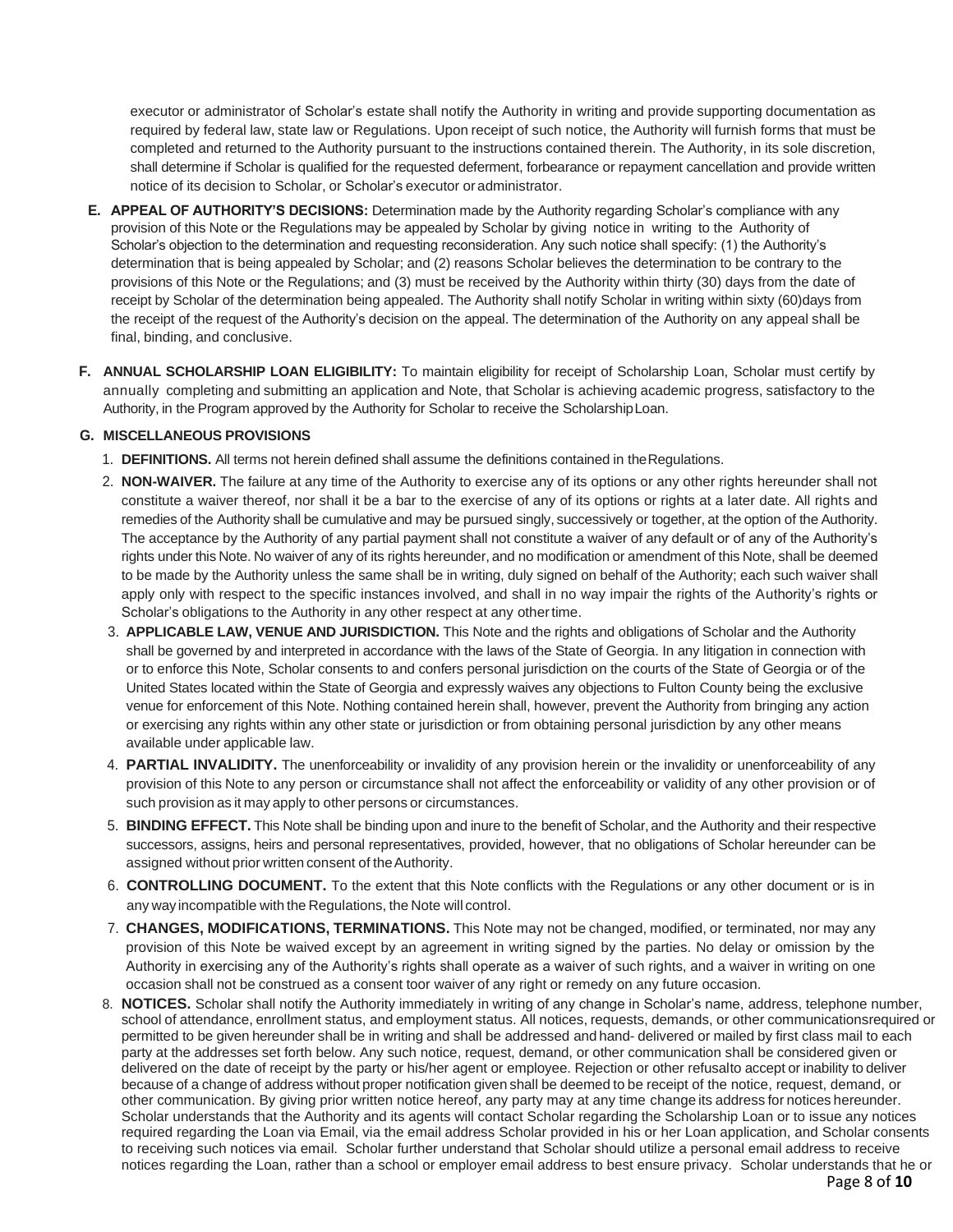executor or administrator of Scholar's estate shall notify the Authority in writing and provide supporting documentation as required by federal law, state law or Regulations. Upon receipt of such notice, the Authority will furnish forms that must be completed and returned to the Authority pursuant to the instructions contained therein. The Authority, in its sole discretion, shall determine if Scholar is qualified for the requested deferment, forbearance or repayment cancellation and provide written notice of its decision to Scholar, or Scholar's executor or administrator.

- **E. APPEAL OF AUTHORITY'S DECISIONS:** Determination made by the Authority regarding Scholar's compliance with any provision of this Note or the Regulations may be appealed by Scholar by giving notice in writing to the Authority of Scholar's objection to the determination and requesting reconsideration. Any such notice shall specify: (1) the Authority's determination that is being appealed by Scholar; and (2) reasons Scholar believes the determination to be contrary to the provisions of this Note or the Regulations; and (3) must be received by the Authority within thirty (30) days from the date of receipt by Scholar of the determination being appealed. The Authority shall notify Scholar in writing within sixty (60)days from the receipt of the request of the Authority's decision on the appeal. The determination of the Authority on any appeal shall be final, binding, and conclusive.
- **F. ANNUAL SCHOLARSHIP LOAN ELIGIBILITY:** To maintain eligibility for receipt of Scholarship Loan, Scholar must certify by annually completing and submitting an application and Note, that Scholar is achieving academic progress, satisfactory to the Authority, in the Program approved by the Authority for Scholar to receive the ScholarshipLoan.

## **G. MISCELLANEOUS PROVISIONS**

- 1. **DEFINITIONS.** All terms not herein defined shall assume the definitions contained in theRegulations.
- 2. **NON-WAIVER.** The failure at any time of the Authority to exercise any of its options or any other rights hereunder shall not constitute a waiver thereof, nor shall it be a bar to the exercise of any of its options or rights at a later date. All rights and remedies of the Authority shall be cumulative and may be pursued singly, successively or together, at the option of the Authority. The acceptance by the Authority of any partial payment shall not constitute a waiver of any default or of any of the Authority's rights under this Note. No waiver of any of its rights hereunder, and no modification or amendment of this Note, shall be deemed to be made by the Authority unless the same shall be in writing, duly signed on behalf of the Authority; each such waiver shall apply only with respect to the specific instances involved, and shall in no way impair the rights of the Authority's rights or Scholar's obligations to the Authority in any other respect at any othertime.
- 3. **APPLICABLE LAW, VENUE AND JURISDICTION.** This Note and the rights and obligations of Scholar and the Authority shall be governed by and interpreted in accordance with the laws of the State of Georgia. In any litigation in connection with or to enforce this Note, Scholar consents to and confers personal jurisdiction on the courts of the State of Georgia or of the United States located within the State of Georgia and expressly waives any objections to Fulton County being the exclusive venue for enforcement of this Note. Nothing contained herein shall, however, prevent the Authority from bringing any action or exercising any rights within any other state or jurisdiction or from obtaining personal jurisdiction by any other means available under applicable law.
- 4. **PARTIAL INVALIDITY.** The unenforceability or invalidity of any provision herein or the invalidity or unenforceability of any provision of this Note to any person or circumstance shall not affect the enforceability or validity of any other provision or of such provision as it may apply to other persons or circumstances.
- 5. **BINDING EFFECT.** This Note shall be binding upon and inure to the benefit of Scholar, and the Authority and their respective successors, assigns, heirs and personal representatives, provided, however, that no obligations of Scholar hereunder can be assigned without prior written consent of theAuthority.
- 6. **CONTROLLING DOCUMENT.** To the extent that this Note conflicts with the Regulations or any other document or is in any way incompatible with the Regulations, the Note will control.
- 7. **CHANGES, MODIFICATIONS, TERMINATIONS.** This Note may not be changed, modified, or terminated, nor may any provision of this Note be waived except by an agreement in writing signed by the parties. No delay or omission by the Authority in exercising any of the Authority's rights shall operate as a waiver of such rights, and a waiver in writing on one occasion shall not be construed as a consent toor waiver of any right or remedy on any future occasion.
- 8. **NOTICES.** Scholar shall notify the Authority immediately in writing of any change in Scholar's name, address, telephone number, school of attendance, enrollment status, and employment status. All notices, requests, demands, or other communicationsrequired or permitted to be given hereunder shall be in writing and shall be addressed and hand- delivered or mailed by first class mail to each party at the addresses set forth below. Any such notice, request, demand, or other communication shall be considered given or delivered on the date of receipt by the party or his/her agent or employee. Rejection or other refusalto accept or inability to deliver because of a change of address without proper notification given shall be deemed to be receipt of the notice, request, demand, or other communication. By giving prior written notice hereof, any party may at any time change its address for notices hereunder. Scholar understands that the Authority and its agents will contact Scholar regarding the Scholarship Loan or to issue any notices required regarding the Loan via Email, via the email address Scholar provided in his or her Loan application, and Scholar consents to receiving such notices via email. Scholar further understand that Scholar should utilize a personal email address to receive notices regarding the Loan, rather than a school or employer email address to best ensure privacy. Scholar understands that he or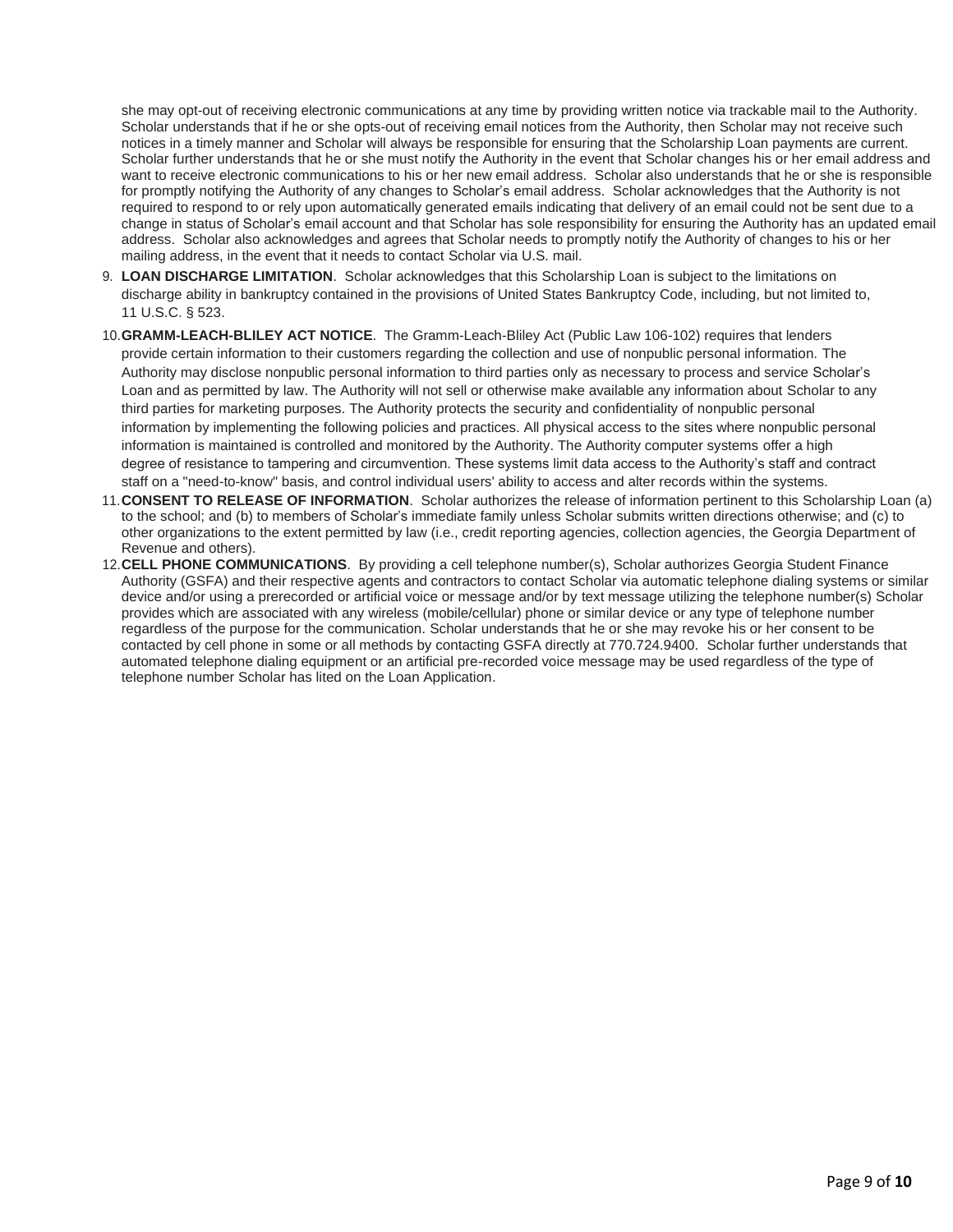she may opt-out of receiving electronic communications at any time by providing written notice via trackable mail to the Authority. Scholar understands that if he or she opts-out of receiving email notices from the Authority, then Scholar may not receive such notices in a timely manner and Scholar will always be responsible for ensuring that the Scholarship Loan payments are current. Scholar further understands that he or she must notify the Authority in the event that Scholar changes his or her email address and want to receive electronic communications to his or her new email address. Scholar also understands that he or she is responsible for promptly notifying the Authority of any changes to Scholar's email address. Scholar acknowledges that the Authority is not required to respond to or rely upon automatically generated emails indicating that delivery of an email could not be sent due to a change in status of Scholar's email account and that Scholar has sole responsibility for ensuring the Authority has an updated email address. Scholar also acknowledges and agrees that Scholar needs to promptly notify the Authority of changes to his or her mailing address, in the event that it needs to contact Scholar via U.S. mail.

- 9. **LOAN DISCHARGE LIMITATION**. Scholar acknowledges that this Scholarship Loan is subject to the limitations on discharge ability in bankruptcy contained in the provisions of United States Bankruptcy Code, including, but not limited to, 11 U.S.C. § 523.
- 10.**GRAMM-LEACH-BLILEY ACT NOTICE**. The Gramm-Leach-Bliley Act (Public Law 106-102) requires that lenders provide certain information to their customers regarding the collection and use of nonpublic personal information. The Authority may disclose nonpublic personal information to third parties only as necessary to process and service Scholar's Loan and as permitted by law. The Authority will not sell or otherwise make available any information about Scholar to any third parties for marketing purposes. The Authority protects the security and confidentiality of nonpublic personal information by implementing the following policies and practices. All physical access to the sites where nonpublic personal information is maintained is controlled and monitored by the Authority. The Authority computer systems offer a high degree of resistance to tampering and circumvention. These systems limit data access to the Authority's staff and contract staff on a "need-to-know" basis, and control individual users' ability to access and alter records within the systems.
- 11.**CONSENT TO RELEASE OF INFORMATION**. Scholar authorizes the release of information pertinent to this Scholarship Loan (a) to the school; and (b) to members of Scholar's immediate family unless Scholar submits written directions otherwise; and (c) to other organizations to the extent permitted by law (i.e., credit reporting agencies, collection agencies, the Georgia Department of Revenue and others).
- 12.**CELL PHONE COMMUNICATIONS**. By providing a cell telephone number(s), Scholar authorizes Georgia Student Finance Authority (GSFA) and their respective agents and contractors to contact Scholar via automatic telephone dialing systems or similar device and/or using a prerecorded or artificial voice or message and/or by text message utilizing the telephone number(s) Scholar provides which are associated with any wireless (mobile/cellular) phone or similar device or any type of telephone number regardless of the purpose for the communication. Scholar understands that he or she may revoke his or her consent to be contacted by cell phone in some or all methods by contacting GSFA directly at 770.724.9400. Scholar further understands that automated telephone dialing equipment or an artificial pre-recorded voice message may be used regardless of the type of telephone number Scholar has lited on the Loan Application.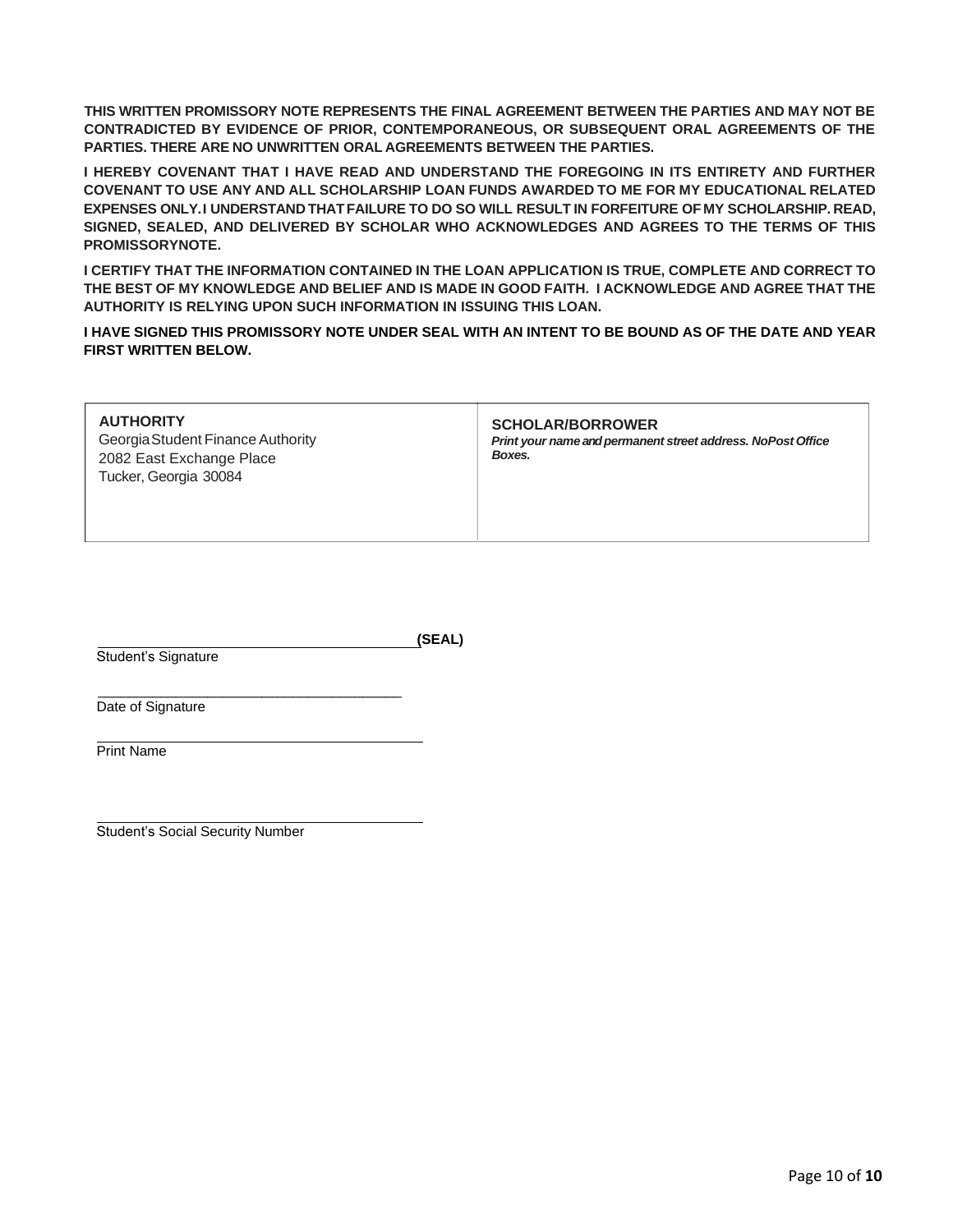**THIS WRITTEN PROMISSORY NOTE REPRESENTS THE FINAL AGREEMENT BETWEEN THE PARTIES AND MAY NOT BE CONTRADICTED BY EVIDENCE OF PRIOR, CONTEMPORANEOUS, OR SUBSEQUENT ORAL AGREEMENTS OF THE PARTIES. THERE ARE NO UNWRITTEN ORAL AGREEMENTS BETWEEN THE PARTIES.**

**I HEREBY COVENANT THAT I HAVE READ AND UNDERSTAND THE FOREGOING IN ITS ENTIRETY AND FURTHER COVENANT TO USE ANY AND ALL SCHOLARSHIP LOAN FUNDS AWARDED TO ME FOR MY EDUCATIONAL RELATED EXPENSES ONLY.I UNDERSTAND THATFAILURE TO DO SO WILL RESULT IN FORFEITURE OF MY SCHOLARSHIP. READ, SIGNED, SEALED, AND DELIVERED BY SCHOLAR WHO ACKNOWLEDGES AND AGREES TO THE TERMS OF THIS PROMISSORYNOTE.**

**I CERTIFY THAT THE INFORMATION CONTAINED IN THE LOAN APPLICATION IS TRUE, COMPLETE AND CORRECT TO THE BEST OF MY KNOWLEDGE AND BELIEF AND IS MADE IN GOOD FAITH. I ACKNOWLEDGE AND AGREE THAT THE AUTHORITY IS RELYING UPON SUCH INFORMATION IN ISSUING THIS LOAN.** 

**I HAVE SIGNED THIS PROMISSORY NOTE UNDER SEAL WITH AN INTENT TO BE BOUND AS OF THE DATE AND YEAR FIRST WRITTEN BELOW.**

| <b>AUTHORITY</b><br>Georgia Student Finance Authority<br>2082 East Exchange Place<br>Tucker, Georgia 30084 | <b>SCHOLAR/BORROWER</b><br>Print your name and permanent street address. NoPost Office<br>Boxes. |
|------------------------------------------------------------------------------------------------------------|--------------------------------------------------------------------------------------------------|
|------------------------------------------------------------------------------------------------------------|--------------------------------------------------------------------------------------------------|

Student's Signature

**(SEAL)**

 $\overline{\phantom{a}}$  , which is the set of the set of the set of the set of the set of the set of the set of the set of the set of the set of the set of the set of the set of the set of the set of the set of the set of the set of Date of Signature

Print Name

Student's Social Security Number